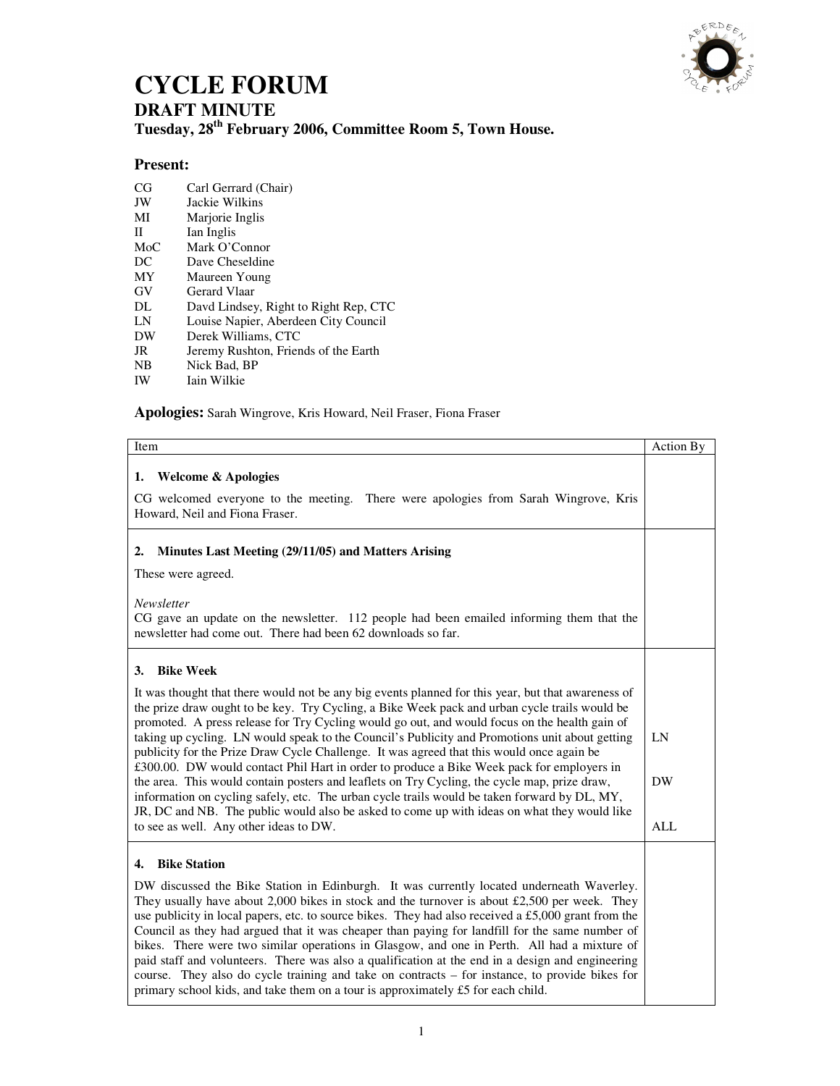

## **CYCLE FORUM**

**DRAFT MINUTE** 

**Tuesday, 28th February 2006, Committee Room 5, Town House.** 

## **Present:**

- CG Carl Gerrard (Chair)<br>JW Jackie Wilkins
- JW Jackie Wilkins
- Marjorie Inglis
- II Ian Inglis<br>MoC Mark O'C
- MoC Mark O'Connor<br>DC Dave Cheseldine
- Dave Cheseldine
- MY Maureen Young
- GV Gerard Vlaar
- DL Davd Lindsey, Right to Right Rep, CTC<br>
LN Louise Napier, Aberdeen City Council
- Louise Napier, Aberdeen City Council
- DW Derek Williams, CTC
- JR Jeremy Rushton, Friends of the Earth
- NB Nick Bad, BP
- IW Iain Wilkie

## **Apologies:** Sarah Wingrove, Kris Howard, Neil Fraser, Fiona Fraser

| Item                                                                                                                                                                                                                                                                                                                                                                                                                                                                                                                                                                                                                                                                                                                                                                                                                                                                                                                                                                | Action By                     |
|---------------------------------------------------------------------------------------------------------------------------------------------------------------------------------------------------------------------------------------------------------------------------------------------------------------------------------------------------------------------------------------------------------------------------------------------------------------------------------------------------------------------------------------------------------------------------------------------------------------------------------------------------------------------------------------------------------------------------------------------------------------------------------------------------------------------------------------------------------------------------------------------------------------------------------------------------------------------|-------------------------------|
| <b>Welcome &amp; Apologies</b><br>1.<br>CG welcomed everyone to the meeting. There were apologies from Sarah Wingrove, Kris<br>Howard, Neil and Fiona Fraser.                                                                                                                                                                                                                                                                                                                                                                                                                                                                                                                                                                                                                                                                                                                                                                                                       |                               |
| Minutes Last Meeting (29/11/05) and Matters Arising<br>2.<br>These were agreed.                                                                                                                                                                                                                                                                                                                                                                                                                                                                                                                                                                                                                                                                                                                                                                                                                                                                                     |                               |
| Newsletter<br>CG gave an update on the newsletter. 112 people had been emailed informing them that the<br>newsletter had come out. There had been 62 downloads so far.                                                                                                                                                                                                                                                                                                                                                                                                                                                                                                                                                                                                                                                                                                                                                                                              |                               |
| <b>Bike Week</b><br>3.<br>It was thought that there would not be any big events planned for this year, but that awareness of<br>the prize draw ought to be key. Try Cycling, a Bike Week pack and urban cycle trails would be<br>promoted. A press release for Try Cycling would go out, and would focus on the health gain of<br>taking up cycling. LN would speak to the Council's Publicity and Promotions unit about getting<br>publicity for the Prize Draw Cycle Challenge. It was agreed that this would once again be<br>£300.00. DW would contact Phil Hart in order to produce a Bike Week pack for employers in<br>the area. This would contain posters and leaflets on Try Cycling, the cycle map, prize draw,<br>information on cycling safely, etc. The urban cycle trails would be taken forward by DL, MY,<br>JR, DC and NB. The public would also be asked to come up with ideas on what they would like<br>to see as well. Any other ideas to DW. | LN<br><b>DW</b><br><b>ALL</b> |
| <b>Bike Station</b><br>4.<br>DW discussed the Bike Station in Edinburgh. It was currently located underneath Waverley.<br>They usually have about 2,000 bikes in stock and the turnover is about £2,500 per week. They<br>use publicity in local papers, etc. to source bikes. They had also received a £5,000 grant from the<br>Council as they had argued that it was cheaper than paying for landfill for the same number of<br>bikes. There were two similar operations in Glasgow, and one in Perth. All had a mixture of<br>paid staff and volunteers. There was also a qualification at the end in a design and engineering<br>course. They also do cycle training and take on contracts – for instance, to provide bikes for<br>primary school kids, and take them on a tour is approximately £5 for each child.                                                                                                                                            |                               |